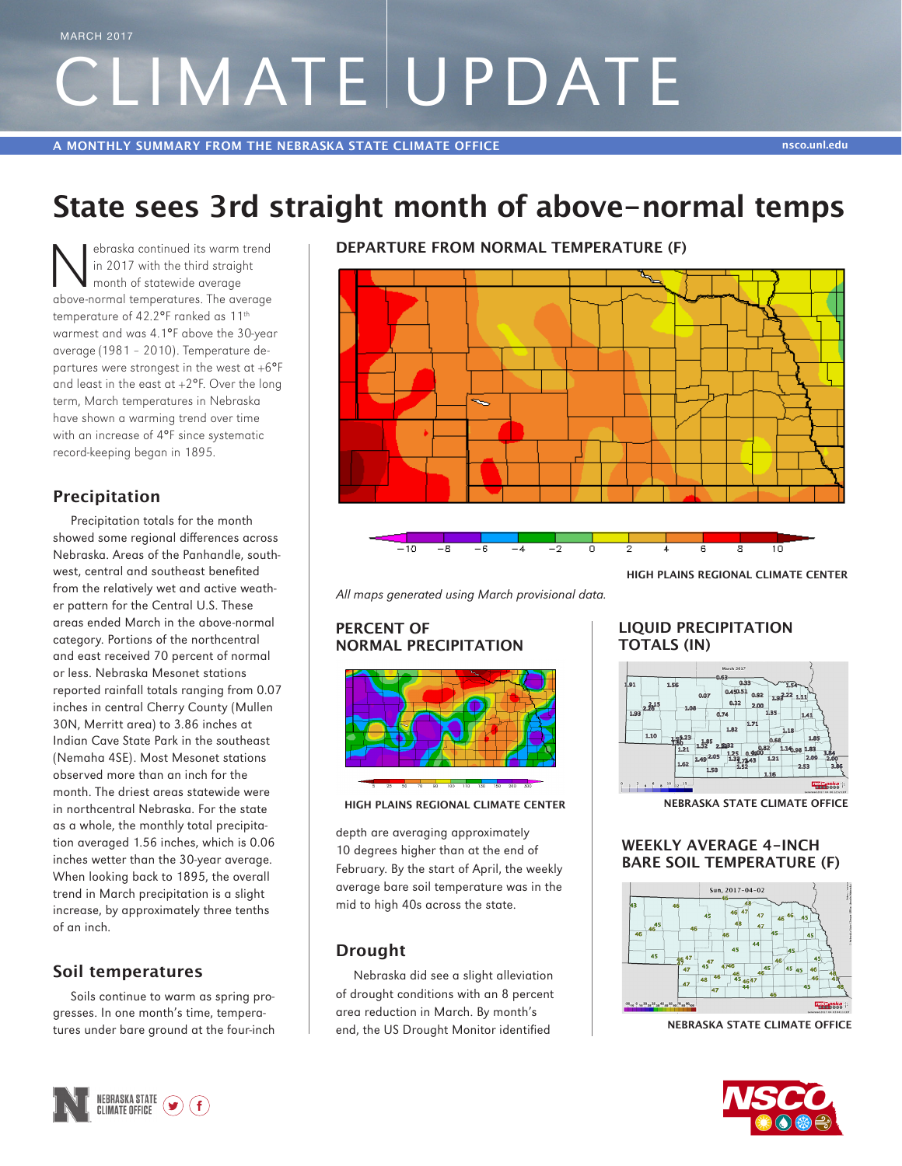# CLIMATE UPDATE MARCH 2017

## **State sees 3rd straight month of above-normal temps**

Superior and the straight<br>
In 2017 with the third straight<br>
month of statewide average<br>
show a parmel temperatures. The average in 2017 with the third straight month of statewide average above-normal temperatures. The average temperature of 42.2°F ranked as 11th warmest and was 4.1°F above the 30-year average (1981 – 2010). Temperature departures were strongest in the west at  $+6^{\circ}F$ and least in the east at  $+2^{\circ}F$ . Over the long term, March temperatures in Nebraska have shown a warming trend over time with an increase of 4°F since systematic record-keeping began in 1895.

#### **Precipitation**

Precipitation totals for the month showed some regional differences across Nebraska. Areas of the Panhandle, southwest, central and southeast benefited from the relatively wet and active weather pattern for the Central U.S. These areas ended March in the above-normal category. Portions of the northcentral and east received 70 percent of normal or less. Nebraska Mesonet stations reported rainfall totals ranging from 0.07 inches in central Cherry County (Mullen 30N, Merritt area) to 3.86 inches at Indian Cave State Park in the southeast (Nemaha 4SE). Most Mesonet stations observed more than an inch for the month. The driest areas statewide were in northcentral Nebraska. For the state as a whole, the monthly total precipitation averaged 1.56 inches, which is 0.06 inches wetter than the 30-year average. When looking back to 1895, the overall trend in March precipitation is a slight increase, by approximately three tenths of an inch.

#### **Soil temperatures**

Soils continue to warm as spring progresses. In one month's time, temperatures under bare ground at the four-inch **DEPARTURE FROM NORMAL TEMPERATURE (F)**



**HIGH PLAINS REGIONAL CLIMATE CENTER**

*All maps generated using March provisional data.*

#### **PERCENT OF NORMAL PRECIPITATION**





depth are averaging approximately 10 degrees higher than at the end of February. By the start of April, the weekly average bare soil temperature was in the mid to high 40s across the state.

#### **Drought**

Nebraska did see a slight alleviation of drought conditions with an 8 percent area reduction in March. By month's end, the US Drought Monitor identified

#### **LIQUID PRECIPITATION TOTALS (IN)**



**NEBRASKA STATE CLIMATE OFFICE**

#### **WEEKLY AVERAGE 4-INCH BARE SOIL TEMPERATURE (F)**



**NEBRASKA STATE CLIMATE OFFICE**